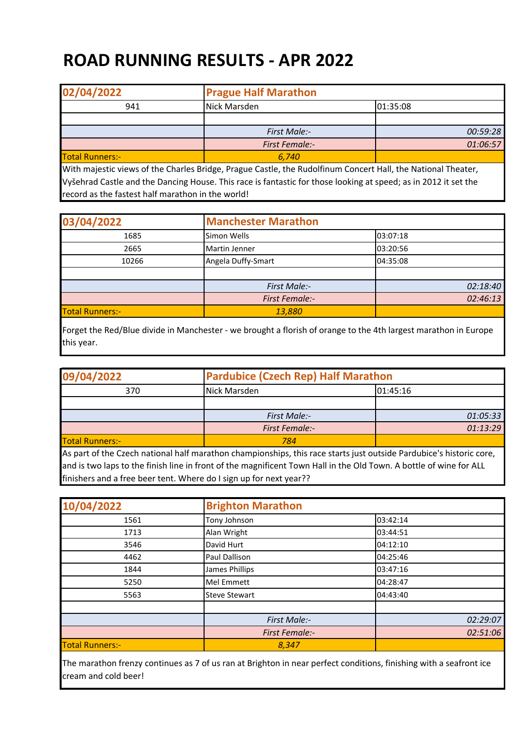## **ROAD RUNNING RESULTS - APR 2022**

| 02/04/2022             | <b>Prague Half Marathon</b> |          |
|------------------------|-----------------------------|----------|
| 941                    | 01:35:08<br>Nick Marsden    |          |
|                        |                             |          |
|                        | <b>First Male:-</b>         | 00:59:28 |
|                        | <b>First Female:-</b>       | 01:06:57 |
| <b>Total Runners:-</b> | 6.740                       |          |

With majestic views of the Charles Bridge, Prague Castle, the Rudolfinum Concert Hall, the National Theater, Vyšehrad Castle and the Dancing House. This race is fantastic for those looking at speed; as in 2012 it set the record as the fastest half marathon in the world!

| 03/04/2022             | <b>Manchester Marathon</b> |          |  |
|------------------------|----------------------------|----------|--|
| 1685                   | Simon Wells                | 03:07:18 |  |
| 2665                   | <b>Martin Jenner</b>       | 03:20:56 |  |
| 10266                  | Angela Duffy-Smart         | 04:35:08 |  |
|                        |                            |          |  |
|                        | First Male:-               | 02:18:40 |  |
|                        | <b>First Female:-</b>      | 02:46:13 |  |
| <b>Total Runners:-</b> | 13,880                     |          |  |

Forget the Red/Blue divide in Manchester - we brought a florish of orange to the 4th largest marathon in Europe this year.

| 09/04/2022             | <b>Pardubice (Czech Rep) Half Marathon</b>                                                                         |          |
|------------------------|--------------------------------------------------------------------------------------------------------------------|----------|
| 370                    | 01:45:16<br>Nick Marsden                                                                                           |          |
|                        |                                                                                                                    |          |
|                        | First Male:-                                                                                                       | 01:05:33 |
|                        | <b>First Female:-</b>                                                                                              | 01:13:29 |
| <b>Total Runners:-</b> | 784                                                                                                                |          |
|                        | As nart of the Czech national half marathon championships, this race starts just outside Pardubice's historic core |          |

tional half marathon championships, this race starts just outside Pardubice's historic core, and is two laps to the finish line in front of the magnificent Town Hall in the Old Town. A bottle of wine for ALL finishers and a free beer tent. Where do I sign up for next year??

| 10/04/2022             | <b>Brighton Marathon</b> |          |
|------------------------|--------------------------|----------|
| 1561                   | Tony Johnson             | 03:42:14 |
| 1713                   | Alan Wright              | 03:44:51 |
| 3546                   | David Hurt               | 04:12:10 |
| 4462                   | Paul Dallison            | 04:25:46 |
| 1844                   | James Phillips           | 03:47:16 |
| 5250                   | <b>Mel Emmett</b>        | 04:28:47 |
| 5563                   | <b>Steve Stewart</b>     | 04:43:40 |
|                        |                          |          |
|                        | First Male:-             | 02:29:07 |
|                        | <b>First Female:-</b>    | 02:51:06 |
| <b>Total Runners:-</b> | 8,347                    |          |

The marathon frenzy continues as 7 of us ran at Brighton in near perfect conditions, finishing with a seafront ice cream and cold beer!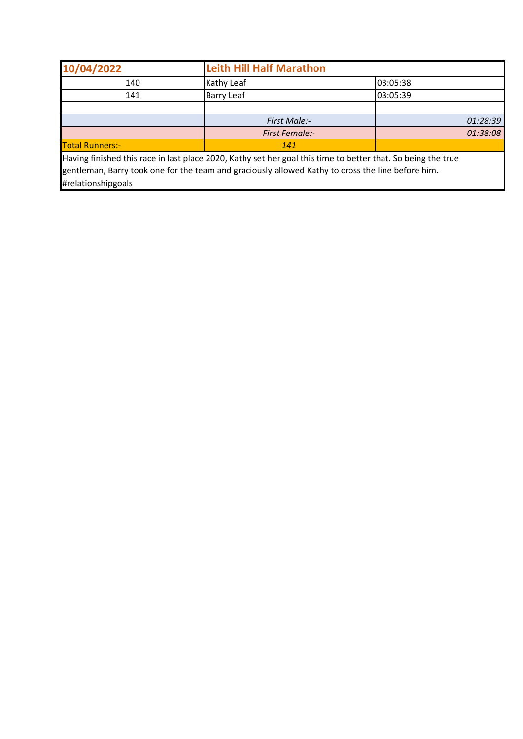| 10/04/2022             | <b>Leith Hill Half Marathon</b>                                                                                |          |
|------------------------|----------------------------------------------------------------------------------------------------------------|----------|
| 140                    | Kathy Leaf                                                                                                     | 03:05:38 |
| 141                    | <b>Barry Leaf</b>                                                                                              | 03:05:39 |
|                        |                                                                                                                |          |
|                        | First Male:-                                                                                                   | 01:28:39 |
|                        | <b>First Female:-</b>                                                                                          | 01:38:08 |
| <b>Total Runners:-</b> | 141                                                                                                            |          |
|                        | Unidos Colohad this seas in leat place 2020. Vathis ast has seal this time to batter that, Ce haires the twise |          |

Having finished this race in last place 2020, Kathy set her goal this time to better that. So being the true gentleman, Barry took one for the team and graciously allowed Kathy to cross the line before him. #relationshipgoals